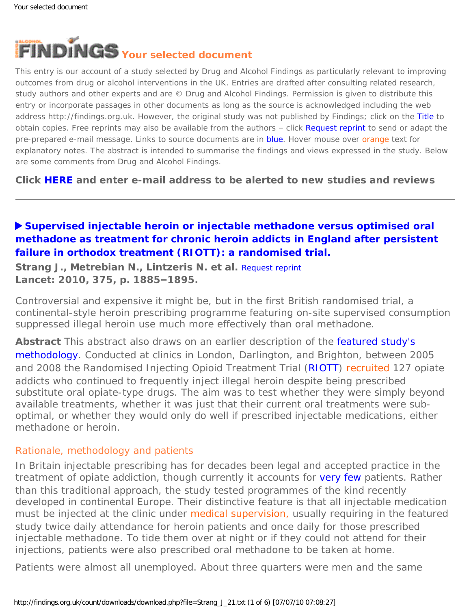<span id="page-0-0"></span>

This entry is our account of a study selected by Drug and Alcohol Findings as particularly relevant to improving outcomes from drug or alcohol interventions in the UK. Entries are drafted after consulting related research, study authors and other experts and are © Drug and Alcohol Findings. Permission is given to distribute this entry or incorporate passages in other documents as long as the source is acknowledged including the web address http://findings.org.uk. However, the original study was not published by Findings; click on the Title to obtain copies. Free reprints may also be available from the authors - click Request reprint to send or adapt the pre-prepared e-mail message. Links to source documents are in blue. Hover mouse over orange text for explanatory notes. The abstract is intended to summarise the findings and views expressed in the study. Below are some comments from Drug and Alcohol Findings.

**Click [HERE](https://findings.org.uk/index.php#signUp) and enter e-mail address to be alerted to new studies and reviews**

# **[Supervised injectable heroin or injectable methadone versus optimised oral](http://dx.doi.org/10.1016/S0140-6736(10)60349-2)  [methadone as treatment for chronic heroin addicts in England after persistent](http://dx.doi.org/10.1016/S0140-6736(10)60349-2)  [failure in orthodox treatment \(RIOTT\): a randomised trial.](http://dx.doi.org/10.1016/S0140-6736(10)60349-2)**

**Strang J., Metrebian N., Lintzeris N. et al.** [Request reprint](mailto:john.strang@kcl.ac.uk?Subject=Reprint%20request&body=Dear Dr Strang%0A%0AOn the Drug and Alcohol Findings web site (https://findings.org.uk) I read about your article:%0AStrang J., Metrebian N., Lintzeris N. et al. Supervised injectable heroin or injectable methadone versus optimised oral methadone as treatment for chronic heroin addicts in England after persistent failure in orthodox treatment (RIOTT): a randomised trial. Lancet: 2010, 375, p. 1885-1895.%0A%0AWould it be possible to for me to be sent a PDF reprint or the manuscript by return e-mail?%0A) **Lancet: 2010, 375, p. 1885–1895.**

Controversial and expensive it might be, but in the first British randomised trial, a continental-style heroin prescribing programme featuring on-site supervised consumption suppressed illegal heroin use much more effectively than oral methadone.

**Abstract** This abstract also draws on an earlier description of the [featured study's](http://dx.doi.org/10.1186/1477-7517-3-28)  [methodology.](http://dx.doi.org/10.1186/1477-7517-3-28) Conducted at clinics in London, Darlington, and Brighton, between 2005 and 2008 the Randomised Injecting Opioid Treatment Trial [\(RIOTT](http://www.iop.kcl.ac.uk/projects/?id=10114)) [recruited](#page-0-0) 127 opiate addicts who continued to frequently inject illegal heroin despite being prescribed substitute oral opiate-type drugs. The aim was to test whether they were simply beyond available treatments, whether it was just that their current oral treatments were suboptimal, or whether they would only do well if prescribed injectable medications, either methadone or heroin.

#### Rationale, methodology and patients

In Britain injectable prescribing has for decades been legal and accepted practice in the treatment of opiate addiction, though currently it accounts for [very few](http://dx.doi.org/10.1159/000101550) patients. Rather than this traditional approach, the study tested programmes of the kind recently developed in continental Europe. Their distinctive feature is that all injectable medication must be injected at the clinic under [medical supervision,](#page-0-0) usually requiring in the featured study twice daily attendance for heroin patients and once daily for those prescribed injectable methadone. To tide them over at night or if they could not attend for their injections, patients were also prescribed oral methadone to be taken at home.

Patients were almost all unemployed. About three quarters were men and the same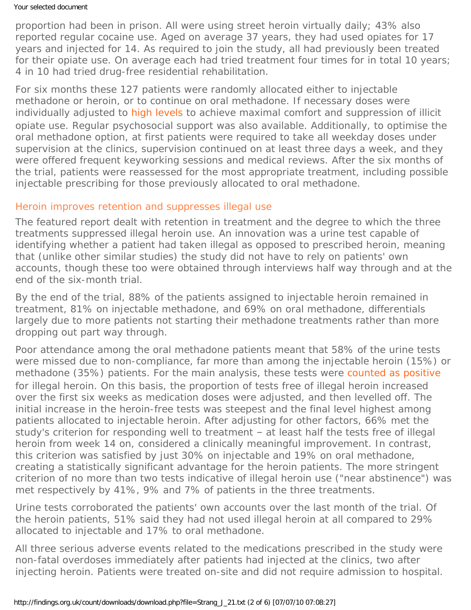#### Your selected document

proportion had been in prison. All were using street heroin virtually daily; 43% also reported regular cocaine use. Aged on average 37 years, they had used opiates for 17 years and injected for 14. As required to join the study, all had previously been treated for their opiate use. On average each had tried treatment four times for in total 10 years; 4 in 10 had tried drug-free residential rehabilitation.

For six months these 127 patients were randomly allocated either to injectable methadone or heroin, or to continue on oral methadone. If necessary doses were individually adjusted to [high levels](#page-0-0) to achieve maximal comfort and suppression of illicit opiate use. Regular psychosocial support was also available. Additionally, to optimise the oral methadone option, at first patients were required to take all weekday doses under supervision at the clinics, supervision continued on at least three days a week, and they were offered frequent keyworking sessions and medical reviews. After the six months of the trial, patients were reassessed for the most appropriate treatment, including possible injectable prescribing for those previously allocated to oral methadone.

#### Heroin improves retention and suppresses illegal use

The featured report dealt with retention in treatment and the degree to which the three treatments suppressed illegal heroin use. An innovation was a urine test capable of identifying whether a patient had taken illegal as opposed to prescribed heroin, meaning that (unlike other similar studies) the study did not have to rely on patients' own accounts, though these too were obtained through interviews half way through and at the end of the six-month trial.

By the end of the trial, 88% of the patients assigned to injectable heroin remained in treatment, 81% on injectable methadone, and 69% on oral methadone, differentials largely due to more patients not starting their methadone treatments rather than more dropping out part way through.

Poor attendance among the oral methadone patients meant that 58% of the urine tests were missed due to non-compliance, far more than among the injectable heroin (15%) or methadone (35%) patients. For the main analysis, these tests were [counted as positive](#page-0-0) for illegal heroin. On this basis, the proportion of tests free of illegal heroin increased over the first six weeks as medication doses were adjusted, and then levelled off. The initial increase in the heroin-free tests was steepest and the final level highest among patients allocated to injectable heroin. After adjusting for other factors, 66% met the study's criterion for responding well to treatment – at least half the tests free of illegal heroin from week 14 on, considered a clinically meaningful improvement. In contrast, this criterion was satisfied by just 30% on injectable and 19% on oral methadone, creating a statistically significant advantage for the heroin patients. The more stringent criterion of no more than two tests indicative of illegal heroin use ("near abstinence") was met respectively by 41%, 9% and 7% of patients in the three treatments.

Urine tests corroborated the patients' own accounts over the last month of the trial. Of the heroin patients, 51% said they had not used illegal heroin at all compared to 29% allocated to injectable and 17% to oral methadone.

All three serious adverse events related to the medications prescribed in the study were non-fatal overdoses immediately after patients had injected at the clinics, two after injecting heroin. Patients were treated on-site and did not require admission to hospital.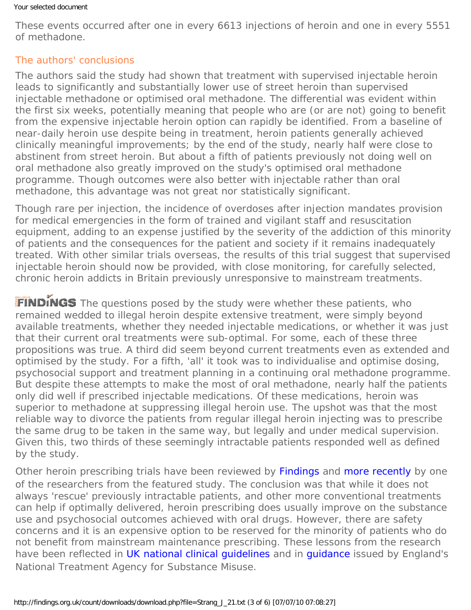#### Your selected document

These events occurred after one in every 6613 injections of heroin and one in every 5551 of methadone.

## The authors' conclusions

The authors said the study had shown that treatment with supervised injectable heroin leads to significantly and substantially lower use of street heroin than supervised injectable methadone or optimised oral methadone. The differential was evident within the first six weeks, potentially meaning that people who are (or are not) going to benefit from the expensive injectable heroin option can rapidly be identified. From a baseline of near-daily heroin use despite being in treatment, heroin patients generally achieved clinically meaningful improvements; by the end of the study, nearly half were close to abstinent from street heroin. But about a fifth of patients previously not doing well on oral methadone also greatly improved on the study's optimised oral methadone programme. Though outcomes were also better with injectable rather than oral methadone, this advantage was not great nor statistically significant.

Though rare per injection, the incidence of overdoses after injection mandates provision for medical emergencies in the form of trained and vigilant staff and resuscitation equipment, adding to an expense justified by the severity of the addiction of this minority of patients and the consequences for the patient and society if it remains inadequately treated. With other similar trials overseas, the results of this trial suggest that supervised injectable heroin should now be provided, with close monitoring, for carefully selected, chronic heroin addicts in Britain previously unresponsive to mainstream treatments.

FINDINGS The questions posed by the study were whether these patients, who remained wedded to illegal heroin despite extensive treatment, were simply beyond available treatments, whether they needed injectable medications, or whether it was just that their current oral treatments were sub-optimal. For some, each of these three propositions was true. A third did seem beyond current treatments even as extended and optimised by the study. For a fifth, 'all' it took was to individualise and optimise dosing, psychosocial support and treatment planning in a continuing oral methadone programme. But despite these attempts to make the most of oral methadone, nearly half the patients only did well if prescribed injectable medications. Of these medications, heroin was superior to methadone at suppressing illegal heroin use. The upshot was that the most reliable way to divorce the patients from regular illegal heroin injecting was to prescribe the same drug to be taken in the same way, but legally and under medical supervision. Given this, two thirds of these seemingly intractable patients responded well as defined by the study.

Other heroin prescribing trials have been reviewed by [Findings](https://findings.org.uk/count/downloads/download.php?file=Ashton_M_22.pdf) and [more recently](https://findings.org.uk/count/downloads/download.php?file=Lintzeris_N_10.txt) by one of the researchers from the featured study. The conclusion was that while it does not always 'rescue' previously intractable patients, and other more conventional treatments can help if optimally delivered, heroin prescribing does usually improve on the substance use and psychosocial outcomes achieved with oral drugs. However, there are safety concerns and it is an expensive option to be reserved for the minority of patients who do not benefit from mainstream maintenance prescribing. These lessons from the research have been reflected in [UK national clinical guidelines](http://www.dh.gov.uk/en/Publicationsandstatistics/Publications/PublicationsPolicyAndGuidance/DH_104819) and in [guidance](http://www.nta.nhs.uk/inject-hero-full.aspx) issued by England's National Treatment Agency for Substance Misuse.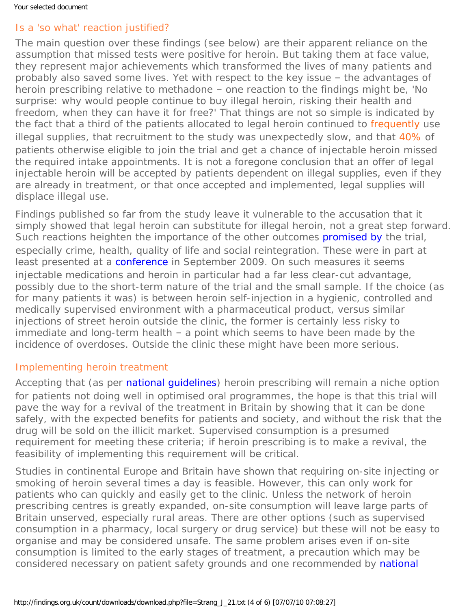# Is a 'so what' reaction justified?

The main question over these findings (see below) are their apparent reliance on the assumption that missed tests were positive for heroin. But taking them at face value, they represent major achievements which transformed the lives of many patients and probably also saved some lives. Yet with respect to the key issue – the advantages of heroin prescribing relative to methadone – one reaction to the findings might be, 'No surprise: why *would* people continue to buy illegal heroin, risking their health and freedom, when they can have it for free?' That things are not so simple is indicated by the fact that a third of the patients allocated to legal heroin continued to [frequently](#page-0-0) use illegal supplies, that recruitment to the study was unexpectedly slow, and that [40%](#page-0-0) of patients otherwise eligible to join the trial and get a chance of injectable heroin missed the required intake appointments. It is not a foregone conclusion that an offer of legal injectable heroin will be accepted by patients dependent on illegal supplies, even if they are already in treatment, or that once accepted and implemented, legal supplies will displace illegal use.

Findings published so far from the study leave it vulnerable to the accusation that it simply showed that legal heroin can substitute for illegal heroin, not a great step forward. Such reactions heighten the importance of the other outcomes [promised by](http://www.controlled-trials.com/ISRCTN01338071) the trial, especially crime, health, quality of life and social reintegration. These were in part at least presented at a [conference](http://www.kingshealthpartners.org/khp/2009/09/15/untreatable-or-just-hard-to-treat/) in September 2009. On such measures it seems injectable medications and heroin in particular had a far less clear-cut advantage, possibly due to the short-term nature of the trial and the small sample. If the choice (as for many patients it was) is between heroin self-injection in a hygienic, controlled and medically supervised environment with a pharmaceutical product, versus similar injections of street heroin outside the clinic, the former is certainly less risky to immediate and long-term health – a point which seems to have been made by the incidence of overdoses. Outside the clinic these might have been more serious.

## Implementing heroin treatment

Accepting that (as per [national guidelines\)](http://www.dh.gov.uk/en/Publicationsandstatistics/Publications/PublicationsPolicyAndGuidance/DH_104819) heroin prescribing will remain a niche option for patients not doing well in optimised oral programmes, the hope is that this trial will pave the way for a revival of the treatment in Britain by showing that it can be done safely, with the expected benefits for patients and society, and without the risk that the drug will be sold on the illicit market. Supervised consumption is a presumed requirement for meeting these criteria; if heroin prescribing is to make a revival, the feasibility of implementing this requirement will be critical.

Studies in continental Europe and Britain have shown that requiring on-site injecting or smoking of heroin several times a day is feasible. However, this can only work for patients who can quickly and easily get to the clinic. Unless the network of heroin prescribing centres is greatly expanded, on-site consumption will leave large parts of Britain unserved, especially rural areas. There are other options (such as supervised consumption in a pharmacy, local surgery or drug service) but these will not be easy to organise and may be considered unsafe. The same problem arises even if on-site consumption is limited to the early stages of treatment, a precaution which may be considered necessary on patient safety grounds and one recommended by [national](http://www.dh.gov.uk/en/Publicationsandstatistics/Publications/PublicationsPolicyAndGuidance/DH_104819)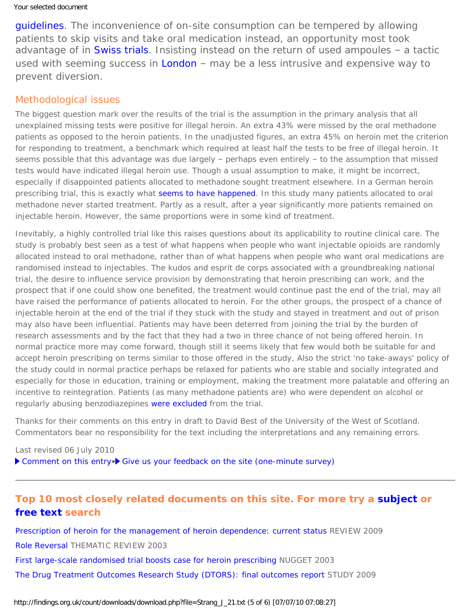[guidelines](http://www.dh.gov.uk/en/Publicationsandstatistics/Publications/PublicationsPolicyAndGuidance/DH_104819). The inconvenience of on-site consumption can be tempered by allowing patients to skip visits and take oral medication instead, an opportunity most took advantage of in [Swiss trials](https://findings.org.uk/count/downloads/download.php?file=Ashton_M_22.pdf). Insisting instead on the return of used ampoules - a tactic used with seeming success in [London](http://dx.doi.org/10.1080/09595230120079576) - may be a less intrusive and expensive way to prevent diversion.

#### Methodological issues

The biggest question mark over the results of the trial is the assumption in the primary analysis that all unexplained missing tests were positive for illegal heroin. An extra 43% were missed by the oral methadone patients as opposed to the heroin patients. In the unadjusted figures, an extra 45% on heroin met the criterion for responding to treatment, a benchmark which required at least half the tests to be free of illegal heroin. It seems possible that this advantage was due largely – perhaps even entirely – to the assumption that missed tests would have indicated illegal heroin use. Though a usual assumption to make, it might be incorrect, especially if disappointed patients allocated to methadone sought treatment elsewhere. In a German heroin prescribing trial, this is exactly what [seems to have happened](https://findings.org.uk/count/downloads/download.php?file=Lintzeris_N_10.txt). In this study many patients allocated to oral methadone never started treatment. Partly as a result, after a year significantly more patients remained on injectable heroin. However, the same proportions were in some kind of treatment.

Inevitably, a highly controlled trial like this raises questions about its applicability to routine clinical care. The study is probably best seen as a test of what happens when people who want injectable opioids are randomly allocated instead to oral methadone, rather than of what happens when people who want oral medications are randomised instead to injectables. The kudos and *esprit de corps* associated with a groundbreaking national trial, the desire to influence service provision by demonstrating that heroin prescribing can work, and the prospect that if one could show one benefited, the treatment would continue past the end of the trial, may all have raised the performance of patients allocated to heroin. For the other groups, the prospect of a chance of injectable heroin at the end of the trial if they stuck with the study and stayed in treatment and out of prison may also have been influential. Patients may have been deterred from joining the trial by the burden of research assessments and by the fact that they had a two in three chance of not being offered heroin. In normal practice more may come forward, though still it seems likely that few would both be suitable for and accept heroin prescribing on terms similar to those offered in the study, Also the strict 'no take-aways' policy of the study could in normal practice perhaps be relaxed for patients who are stable and socially integrated and especially for those in education, training or employment, making the treatment more palatable and offering an incentive to reintegration. Patients (as many methadone patients are) who were dependent on alcohol or regularly abusing benzodiazepines [were excluded](http://dx.doi.org/10.1186/1477-7517-3-28) from the trial.

*Thanks for their comments on this entry in draft to David Best of the University of the West of Scotland. Commentators bear no responsibility for the text including the interpretations and any remaining errors.*

Last revised 06 July 2010 [Comment on this entry](mailto:editor@findings.org.uk?Subject=Findings%20entry:%20Supervised%20injectable%20heroin%20or%20injectable%20methadone%20versus%20optimised%20oral%20methadone%20as%20treatment%20for%20chronic%20heroin%20addicts%20in%20England%20after%20persistent%20failure%20in%20orthodox%20treatment%20(RIOTT):%20a%20randomised%20trial)•> [Give us your feedback on the site \(one-minute survey\)](http://www.surveymonkey.com/s/C2PX7D5)

### **Top 10 most closely related documents on this site. For more try a [subject](https://findings.org.uk/topic_search.htm) or [free text](https://findings.org.uk/free_search.htm) search**

[Prescription of heroin for the management of heroin dependence: current status](https://findings.org.uk/count/downloads/download.php?file=Lintzeris_N_10.txt) REVIEW 2009 [Role Reversal](https://findings.org.uk/count/downloads/download.php?file=Ashton_M_22.pdf) THEMATIC REVIEW 2003

[First large-scale randomised trial boosts case for heroin prescribing](https://findings.org.uk/count/downloads/download.php?file=nug_8_7.pdf) NUGGET 2003

[The Drug Treatment Outcomes Research Study \(DTORS\): final outcomes report](https://findings.org.uk/count/downloads/download.php?file=Jones_A_4.txt) STUDY 2009